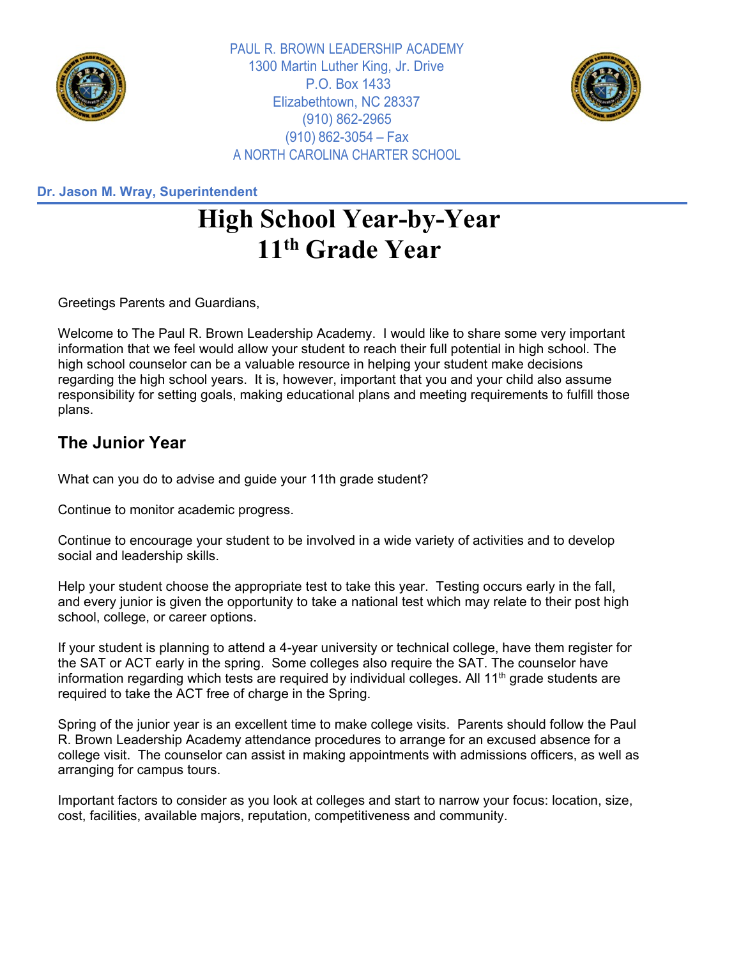

PAUL R. BROWN LEADERSHIP ACADEMY 1300 Martin Luther King, Jr. Drive P.O. Box 1433 Elizabethtown, NC 28337 (910) 862-2965 (910) 862-3054 – Fax A NORTH CAROLINA CHARTER SCHOOL



**Dr. Jason M. Wray, Superintendent**

## **High School Year-by-Year 11th Grade Year**

Greetings Parents and Guardians,

Welcome to The Paul R. Brown Leadership Academy. I would like to share some very important information that we feel would allow your student to reach their full potential in high school. The high school counselor can be a valuable resource in helping your student make decisions regarding the high school years. It is, however, important that you and your child also assume responsibility for setting goals, making educational plans and meeting requirements to fulfill those plans.

## **The Junior Year**

What can you do to advise and guide your 11th grade student?

Continue to monitor academic progress.

Continue to encourage your student to be involved in a wide variety of activities and to develop social and leadership skills.

Help your student choose the appropriate test to take this year. Testing occurs early in the fall, and every junior is given the opportunity to take a national test which may relate to their post high school, college, or career options.

If your student is planning to attend a 4-year university or technical college, have them register for the SAT or ACT early in the spring. Some colleges also require the SAT. The counselor have information regarding which tests are required by individual colleges. All 11<sup>th</sup> grade students are required to take the ACT free of charge in the Spring.

Spring of the junior year is an excellent time to make college visits. Parents should follow the Paul R. Brown Leadership Academy attendance procedures to arrange for an excused absence for a college visit. The counselor can assist in making appointments with admissions officers, as well as arranging for campus tours.

Important factors to consider as you look at colleges and start to narrow your focus: location, size, cost, facilities, available majors, reputation, competitiveness and community.